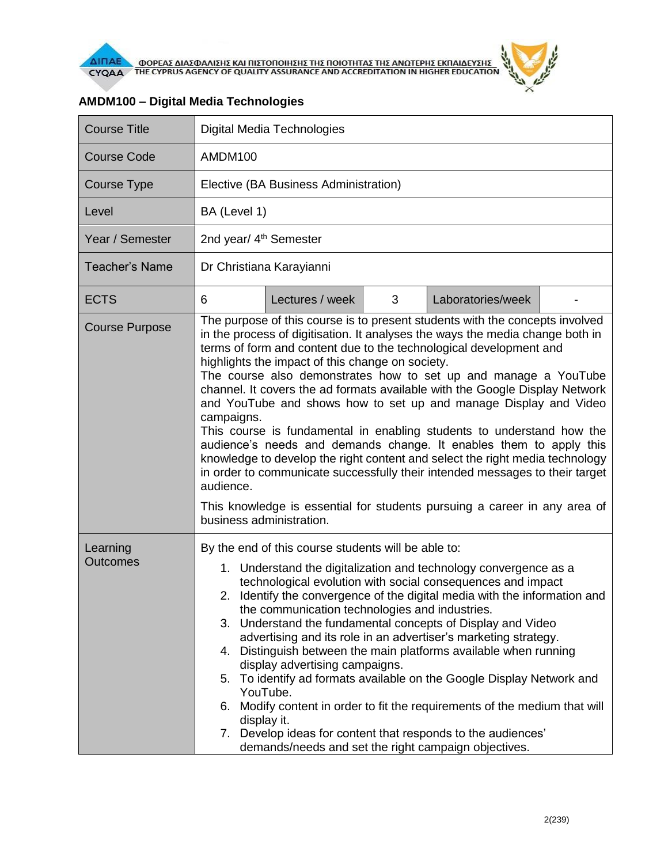

| <b>Course Title</b>         | <b>Digital Media Technologies</b>                                                                                                                                                                                                                                                                                                                                                                                                                                                                                                                                                                                                                                                                                                                                                                                                                                                                                                                                |  |  |  |  |
|-----------------------------|------------------------------------------------------------------------------------------------------------------------------------------------------------------------------------------------------------------------------------------------------------------------------------------------------------------------------------------------------------------------------------------------------------------------------------------------------------------------------------------------------------------------------------------------------------------------------------------------------------------------------------------------------------------------------------------------------------------------------------------------------------------------------------------------------------------------------------------------------------------------------------------------------------------------------------------------------------------|--|--|--|--|
| <b>Course Code</b>          | AMDM100                                                                                                                                                                                                                                                                                                                                                                                                                                                                                                                                                                                                                                                                                                                                                                                                                                                                                                                                                          |  |  |  |  |
| <b>Course Type</b>          | Elective (BA Business Administration)                                                                                                                                                                                                                                                                                                                                                                                                                                                                                                                                                                                                                                                                                                                                                                                                                                                                                                                            |  |  |  |  |
| Level                       | BA (Level 1)                                                                                                                                                                                                                                                                                                                                                                                                                                                                                                                                                                                                                                                                                                                                                                                                                                                                                                                                                     |  |  |  |  |
| Year / Semester             | 2nd year/ 4 <sup>th</sup> Semester                                                                                                                                                                                                                                                                                                                                                                                                                                                                                                                                                                                                                                                                                                                                                                                                                                                                                                                               |  |  |  |  |
| <b>Teacher's Name</b>       | Dr Christiana Karayianni                                                                                                                                                                                                                                                                                                                                                                                                                                                                                                                                                                                                                                                                                                                                                                                                                                                                                                                                         |  |  |  |  |
| <b>ECTS</b>                 | 6<br>Lectures / week<br>3<br>Laboratories/week                                                                                                                                                                                                                                                                                                                                                                                                                                                                                                                                                                                                                                                                                                                                                                                                                                                                                                                   |  |  |  |  |
| <b>Course Purpose</b>       | The purpose of this course is to present students with the concepts involved<br>in the process of digitisation. It analyses the ways the media change both in<br>terms of form and content due to the technological development and<br>highlights the impact of this change on society.<br>The course also demonstrates how to set up and manage a YouTube<br>channel. It covers the ad formats available with the Google Display Network<br>and YouTube and shows how to set up and manage Display and Video<br>campaigns.<br>This course is fundamental in enabling students to understand how the<br>audience's needs and demands change. It enables them to apply this<br>knowledge to develop the right content and select the right media technology<br>in order to communicate successfully their intended messages to their target<br>audience.<br>This knowledge is essential for students pursuing a career in any area of<br>business administration. |  |  |  |  |
| Learning<br><b>Outcomes</b> | By the end of this course students will be able to:<br>1. Understand the digitalization and technology convergence as a<br>technological evolution with social consequences and impact<br>2. Identify the convergence of the digital media with the information and<br>the communication technologies and industries.<br>Understand the fundamental concepts of Display and Video<br>3.<br>advertising and its role in an advertiser's marketing strategy.<br>Distinguish between the main platforms available when running<br>4.<br>display advertising campaigns.<br>To identify ad formats available on the Google Display Network and<br>5.<br>YouTube.<br>Modify content in order to fit the requirements of the medium that will<br>6.<br>display it.<br>7. Develop ideas for content that responds to the audiences'<br>demands/needs and set the right campaign objectives.                                                                              |  |  |  |  |

## **AMDM100 – Digital Media Technologies**

 $\tilde{r}$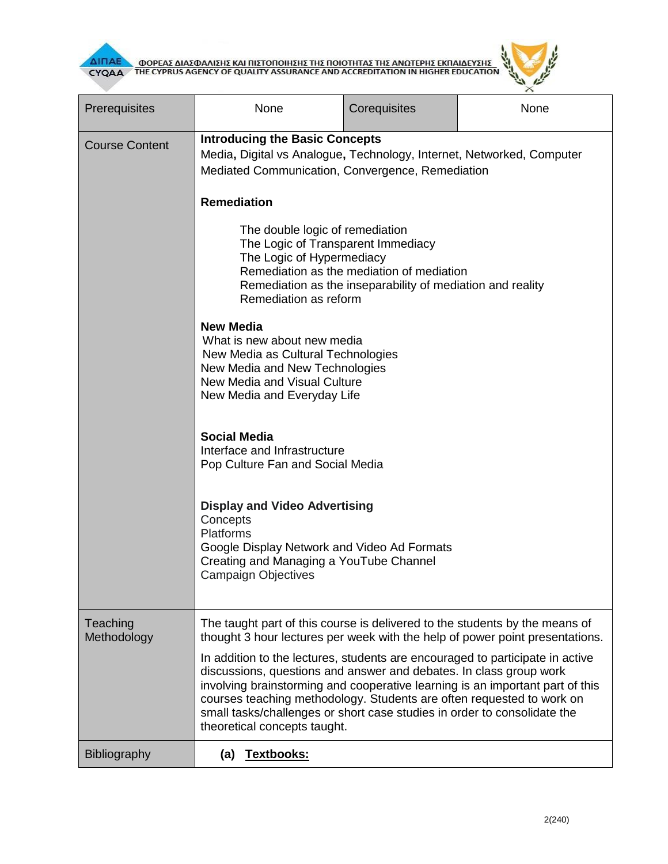



| Prerequisites           | None                                                                                                                                                                                                                                                                                                                                                                                                                      | Corequisites | None                                                                         |  |
|-------------------------|---------------------------------------------------------------------------------------------------------------------------------------------------------------------------------------------------------------------------------------------------------------------------------------------------------------------------------------------------------------------------------------------------------------------------|--------------|------------------------------------------------------------------------------|--|
| <b>Course Content</b>   | <b>Introducing the Basic Concepts</b><br>Media, Digital vs Analogue, Technology, Internet, Networked, Computer<br>Mediated Communication, Convergence, Remediation                                                                                                                                                                                                                                                        |              |                                                                              |  |
|                         | <b>Remediation</b>                                                                                                                                                                                                                                                                                                                                                                                                        |              |                                                                              |  |
|                         | The double logic of remediation<br>The Logic of Transparent Immediacy<br>The Logic of Hypermediacy<br>Remediation as the mediation of mediation<br>Remediation as the inseparability of mediation and reality<br>Remediation as reform                                                                                                                                                                                    |              |                                                                              |  |
|                         | <b>New Media</b><br>What is new about new media<br>New Media as Cultural Technologies<br>New Media and New Technologies<br>New Media and Visual Culture<br>New Media and Everyday Life                                                                                                                                                                                                                                    |              |                                                                              |  |
|                         | <b>Social Media</b><br>Interface and Infrastructure<br>Pop Culture Fan and Social Media                                                                                                                                                                                                                                                                                                                                   |              |                                                                              |  |
|                         | <b>Display and Video Advertising</b><br>Concepts<br><b>Platforms</b><br>Google Display Network and Video Ad Formats<br>Creating and Managing a YouTube Channel<br><b>Campaign Objectives</b>                                                                                                                                                                                                                              |              |                                                                              |  |
| Teaching<br>Methodology | The taught part of this course is delivered to the students by the means of                                                                                                                                                                                                                                                                                                                                               |              | thought 3 hour lectures per week with the help of power point presentations. |  |
|                         | In addition to the lectures, students are encouraged to participate in active<br>discussions, questions and answer and debates. In class group work<br>involving brainstorming and cooperative learning is an important part of this<br>courses teaching methodology. Students are often requested to work on<br>small tasks/challenges or short case studies in order to consolidate the<br>theoretical concepts taught. |              |                                                                              |  |
| Bibliography            | (a) Textbooks:                                                                                                                                                                                                                                                                                                                                                                                                            |              |                                                                              |  |